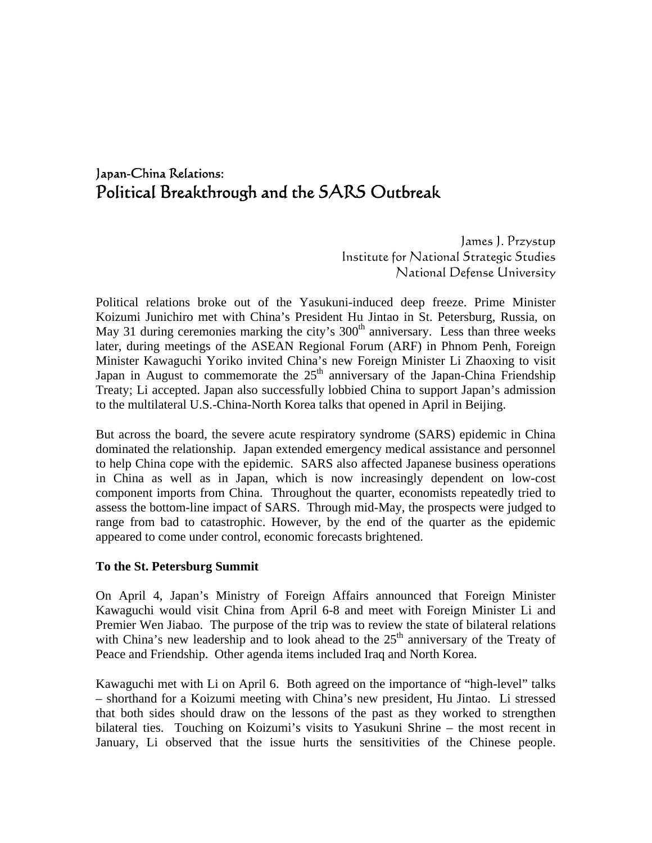# Japan-China Relations: Political Breakthrough and the SARS Outbreak

James J. Przystup Institute for National Strategic Studies National Defense University

Political relations broke out of the Yasukuni-induced deep freeze. Prime Minister Koizumi Junichiro met with China's President Hu Jintao in St. Petersburg, Russia, on May 31 during ceremonies marking the city's  $300<sup>th</sup>$  anniversary. Less than three weeks later, during meetings of the ASEAN Regional Forum (ARF) in Phnom Penh, Foreign Minister Kawaguchi Yoriko invited China's new Foreign Minister Li Zhaoxing to visit Japan in August to commemorate the  $25<sup>th</sup>$  anniversary of the Japan-China Friendship Treaty; Li accepted. Japan also successfully lobbied China to support Japan's admission to the multilateral U.S.-China-North Korea talks that opened in April in Beijing.

But across the board, the severe acute respiratory syndrome (SARS) epidemic in China dominated the relationship. Japan extended emergency medical assistance and personnel to help China cope with the epidemic. SARS also affected Japanese business operations in China as well as in Japan, which is now increasingly dependent on low-cost component imports from China. Throughout the quarter, economists repeatedly tried to assess the bottom-line impact of SARS. Through mid-May, the prospects were judged to range from bad to catastrophic. However, by the end of the quarter as the epidemic appeared to come under control, economic forecasts brightened.

#### **To the St. Petersburg Summit**

On April 4, Japan's Ministry of Foreign Affairs announced that Foreign Minister Kawaguchi would visit China from April 6-8 and meet with Foreign Minister Li and Premier Wen Jiabao. The purpose of the trip was to review the state of bilateral relations with China's new leadership and to look ahead to the  $25<sup>th</sup>$  anniversary of the Treaty of Peace and Friendship. Other agenda items included Iraq and North Korea.

Kawaguchi met with Li on April 6. Both agreed on the importance of "high-level" talks – shorthand for a Koizumi meeting with China's new president, Hu Jintao. Li stressed that both sides should draw on the lessons of the past as they worked to strengthen bilateral ties. Touching on Koizumi's visits to Yasukuni Shrine – the most recent in January, Li observed that the issue hurts the sensitivities of the Chinese people.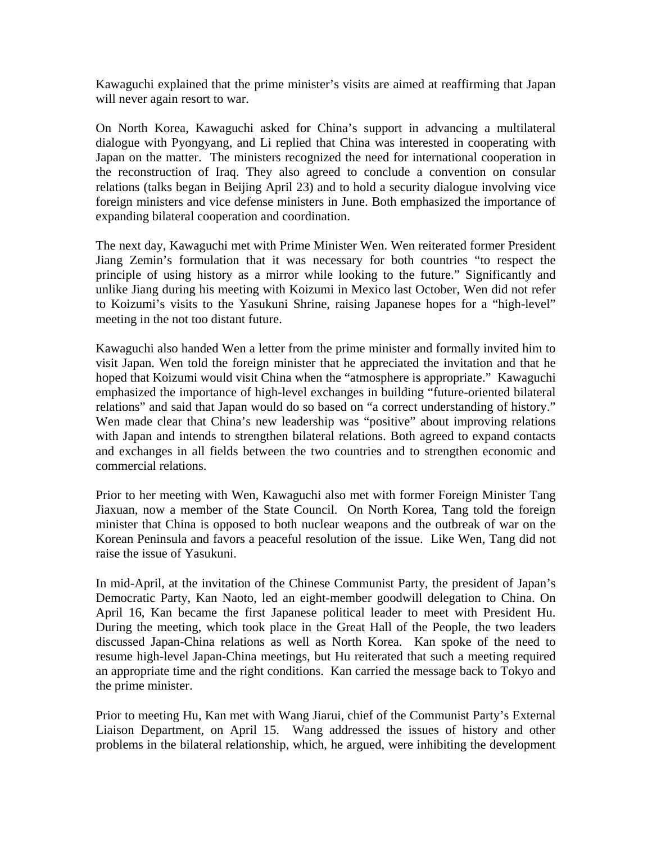Kawaguchi explained that the prime minister's visits are aimed at reaffirming that Japan will never again resort to war.

On North Korea, Kawaguchi asked for China's support in advancing a multilateral dialogue with Pyongyang, and Li replied that China was interested in cooperating with Japan on the matter. The ministers recognized the need for international cooperation in the reconstruction of Iraq. They also agreed to conclude a convention on consular relations (talks began in Beijing April 23) and to hold a security dialogue involving vice foreign ministers and vice defense ministers in June. Both emphasized the importance of expanding bilateral cooperation and coordination.

The next day, Kawaguchi met with Prime Minister Wen. Wen reiterated former President Jiang Zemin's formulation that it was necessary for both countries "to respect the principle of using history as a mirror while looking to the future." Significantly and unlike Jiang during his meeting with Koizumi in Mexico last October, Wen did not refer to Koizumi's visits to the Yasukuni Shrine, raising Japanese hopes for a "high-level" meeting in the not too distant future.

Kawaguchi also handed Wen a letter from the prime minister and formally invited him to visit Japan. Wen told the foreign minister that he appreciated the invitation and that he hoped that Koizumi would visit China when the "atmosphere is appropriate." Kawaguchi emphasized the importance of high-level exchanges in building "future-oriented bilateral relations" and said that Japan would do so based on "a correct understanding of history." Wen made clear that China's new leadership was "positive" about improving relations with Japan and intends to strengthen bilateral relations. Both agreed to expand contacts and exchanges in all fields between the two countries and to strengthen economic and commercial relations.

Prior to her meeting with Wen, Kawaguchi also met with former Foreign Minister Tang Jiaxuan, now a member of the State Council. On North Korea, Tang told the foreign minister that China is opposed to both nuclear weapons and the outbreak of war on the Korean Peninsula and favors a peaceful resolution of the issue. Like Wen, Tang did not raise the issue of Yasukuni.

In mid-April, at the invitation of the Chinese Communist Party, the president of Japan's Democratic Party, Kan Naoto, led an eight-member goodwill delegation to China. On April 16, Kan became the first Japanese political leader to meet with President Hu. During the meeting, which took place in the Great Hall of the People, the two leaders discussed Japan-China relations as well as North Korea. Kan spoke of the need to resume high-level Japan-China meetings, but Hu reiterated that such a meeting required an appropriate time and the right conditions. Kan carried the message back to Tokyo and the prime minister.

Prior to meeting Hu, Kan met with Wang Jiarui, chief of the Communist Party's External Liaison Department, on April 15. Wang addressed the issues of history and other problems in the bilateral relationship, which, he argued, were inhibiting the development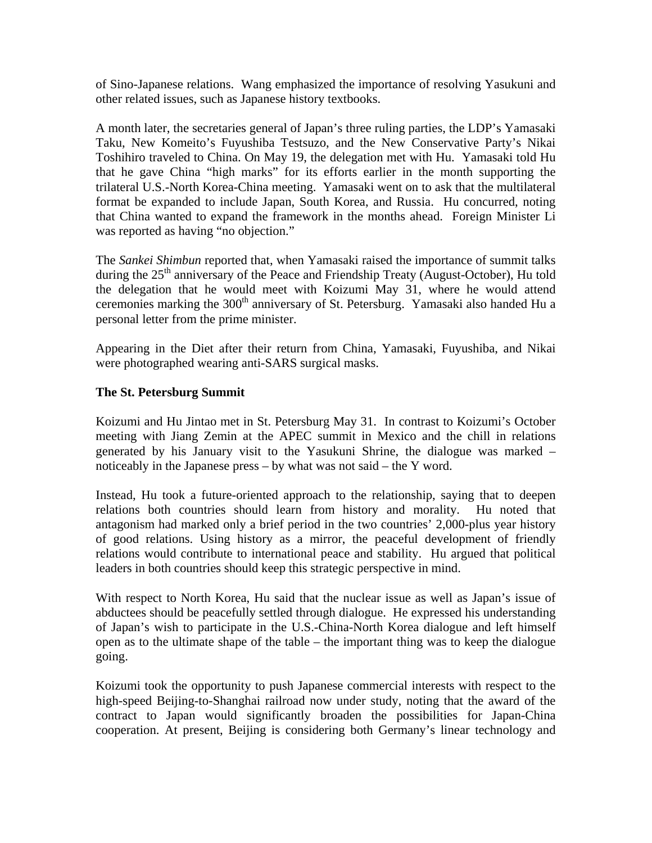of Sino-Japanese relations. Wang emphasized the importance of resolving Yasukuni and other related issues, such as Japanese history textbooks.

A month later, the secretaries general of Japan's three ruling parties, the LDP's Yamasaki Taku, New Komeito's Fuyushiba Testsuzo, and the New Conservative Party's Nikai Toshihiro traveled to China. On May 19, the delegation met with Hu. Yamasaki told Hu that he gave China "high marks" for its efforts earlier in the month supporting the trilateral U.S.-North Korea-China meeting. Yamasaki went on to ask that the multilateral format be expanded to include Japan, South Korea, and Russia. Hu concurred, noting that China wanted to expand the framework in the months ahead. Foreign Minister Li was reported as having "no objection."

The *Sankei Shimbun* reported that, when Yamasaki raised the importance of summit talks during the  $25<sup>th</sup>$  anniversary of the Peace and Friendship Treaty (August-October), Hu told the delegation that he would meet with Koizumi May 31, where he would attend ceremonies marking the  $300<sup>th</sup>$  anniversary of St. Petersburg. Yamasaki also handed Hu a personal letter from the prime minister.

Appearing in the Diet after their return from China, Yamasaki, Fuyushiba, and Nikai were photographed wearing anti-SARS surgical masks.

## **The St. Petersburg Summit**

Koizumi and Hu Jintao met in St. Petersburg May 31. In contrast to Koizumi's October meeting with Jiang Zemin at the APEC summit in Mexico and the chill in relations generated by his January visit to the Yasukuni Shrine, the dialogue was marked – noticeably in the Japanese press – by what was not said – the Y word.

Instead, Hu took a future-oriented approach to the relationship, saying that to deepen relations both countries should learn from history and morality. Hu noted that antagonism had marked only a brief period in the two countries' 2,000-plus year history of good relations. Using history as a mirror, the peaceful development of friendly relations would contribute to international peace and stability. Hu argued that political leaders in both countries should keep this strategic perspective in mind.

With respect to North Korea, Hu said that the nuclear issue as well as Japan's issue of abductees should be peacefully settled through dialogue. He expressed his understanding of Japan's wish to participate in the U.S.-China-North Korea dialogue and left himself open as to the ultimate shape of the table – the important thing was to keep the dialogue going.

Koizumi took the opportunity to push Japanese commercial interests with respect to the high-speed Beijing-to-Shanghai railroad now under study, noting that the award of the contract to Japan would significantly broaden the possibilities for Japan-China cooperation. At present, Beijing is considering both Germany's linear technology and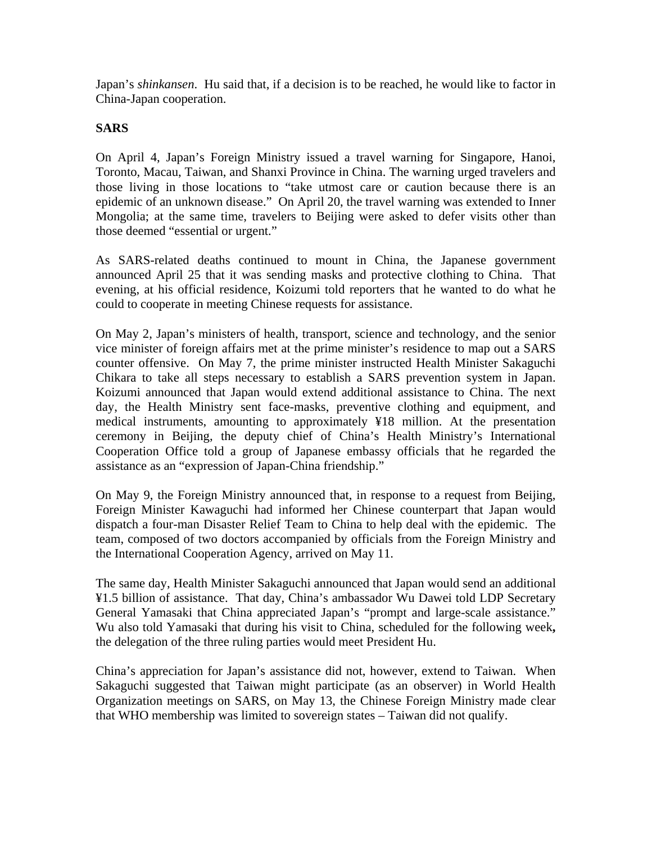Japan's *shinkansen*. Hu said that, if a decision is to be reached, he would like to factor in China-Japan cooperation.

#### **SARS**

On April 4, Japan's Foreign Ministry issued a travel warning for Singapore, Hanoi, Toronto, Macau, Taiwan, and Shanxi Province in China. The warning urged travelers and those living in those locations to "take utmost care or caution because there is an epidemic of an unknown disease." On April 20, the travel warning was extended to Inner Mongolia; at the same time, travelers to Beijing were asked to defer visits other than those deemed "essential or urgent."

As SARS-related deaths continued to mount in China, the Japanese government announced April 25 that it was sending masks and protective clothing to China. That evening, at his official residence, Koizumi told reporters that he wanted to do what he could to cooperate in meeting Chinese requests for assistance.

On May 2, Japan's ministers of health, transport, science and technology, and the senior vice minister of foreign affairs met at the prime minister's residence to map out a SARS counter offensive. On May 7, the prime minister instructed Health Minister Sakaguchi Chikara to take all steps necessary to establish a SARS prevention system in Japan. Koizumi announced that Japan would extend additional assistance to China. The next day, the Health Ministry sent face-masks, preventive clothing and equipment, and medical instruments, amounting to approximately ¥18 million. At the presentation ceremony in Beijing, the deputy chief of China's Health Ministry's International Cooperation Office told a group of Japanese embassy officials that he regarded the assistance as an "expression of Japan-China friendship."

On May 9, the Foreign Ministry announced that, in response to a request from Beijing, Foreign Minister Kawaguchi had informed her Chinese counterpart that Japan would dispatch a four-man Disaster Relief Team to China to help deal with the epidemic. The team, composed of two doctors accompanied by officials from the Foreign Ministry and the International Cooperation Agency, arrived on May 11.

The same day, Health Minister Sakaguchi announced that Japan would send an additional ¥1.5 billion of assistance. That day, China's ambassador Wu Dawei told LDP Secretary General Yamasaki that China appreciated Japan's "prompt and large-scale assistance." Wu also told Yamasaki that during his visit to China, scheduled for the following week**,** the delegation of the three ruling parties would meet President Hu.

China's appreciation for Japan's assistance did not, however, extend to Taiwan. When Sakaguchi suggested that Taiwan might participate (as an observer) in World Health Organization meetings on SARS, on May 13, the Chinese Foreign Ministry made clear that WHO membership was limited to sovereign states – Taiwan did not qualify.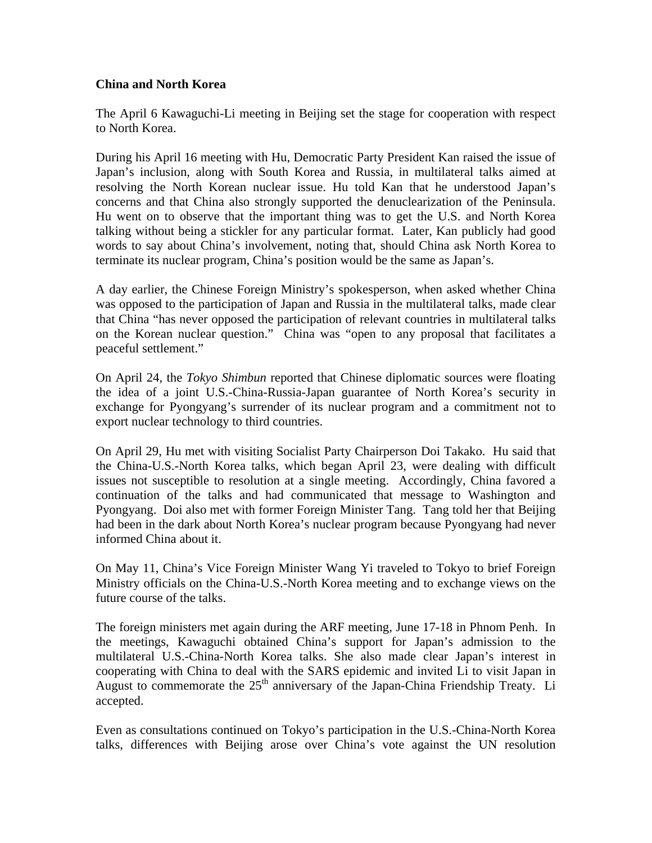## **China and North Korea**

The April 6 Kawaguchi-Li meeting in Beijing set the stage for cooperation with respect to North Korea.

During his April 16 meeting with Hu, Democratic Party President Kan raised the issue of Japan's inclusion, along with South Korea and Russia, in multilateral talks aimed at resolving the North Korean nuclear issue. Hu told Kan that he understood Japan's concerns and that China also strongly supported the denuclearization of the Peninsula. Hu went on to observe that the important thing was to get the U.S. and North Korea talking without being a stickler for any particular format. Later, Kan publicly had good words to say about China's involvement, noting that, should China ask North Korea to terminate its nuclear program, China's position would be the same as Japan's.

A day earlier, the Chinese Foreign Ministry's spokesperson, when asked whether China was opposed to the participation of Japan and Russia in the multilateral talks, made clear that China "has never opposed the participation of relevant countries in multilateral talks on the Korean nuclear question." China was "open to any proposal that facilitates a peaceful settlement."

On April 24, the *Tokyo Shimbun* reported that Chinese diplomatic sources were floating the idea of a joint U.S.-China-Russia-Japan guarantee of North Korea's security in exchange for Pyongyang's surrender of its nuclear program and a commitment not to export nuclear technology to third countries.

On April 29, Hu met with visiting Socialist Party Chairperson Doi Takako. Hu said that the China-U.S.-North Korea talks, which began April 23, were dealing with difficult issues not susceptible to resolution at a single meeting. Accordingly, China favored a continuation of the talks and had communicated that message to Washington and Pyongyang. Doi also met with former Foreign Minister Tang. Tang told her that Beijing had been in the dark about North Korea's nuclear program because Pyongyang had never informed China about it.

On May 11, China's Vice Foreign Minister Wang Yi traveled to Tokyo to brief Foreign Ministry officials on the China-U.S.-North Korea meeting and to exchange views on the future course of the talks.

The foreign ministers met again during the ARF meeting, June 17-18 in Phnom Penh. In the meetings, Kawaguchi obtained China's support for Japan's admission to the multilateral U.S.-China-North Korea talks. She also made clear Japan's interest in cooperating with China to deal with the SARS epidemic and invited Li to visit Japan in August to commemorate the  $25<sup>th</sup>$  anniversary of the Japan-China Friendship Treaty. Li accepted.

Even as consultations continued on Tokyo's participation in the U.S.-China-North Korea talks, differences with Beijing arose over China's vote against the UN resolution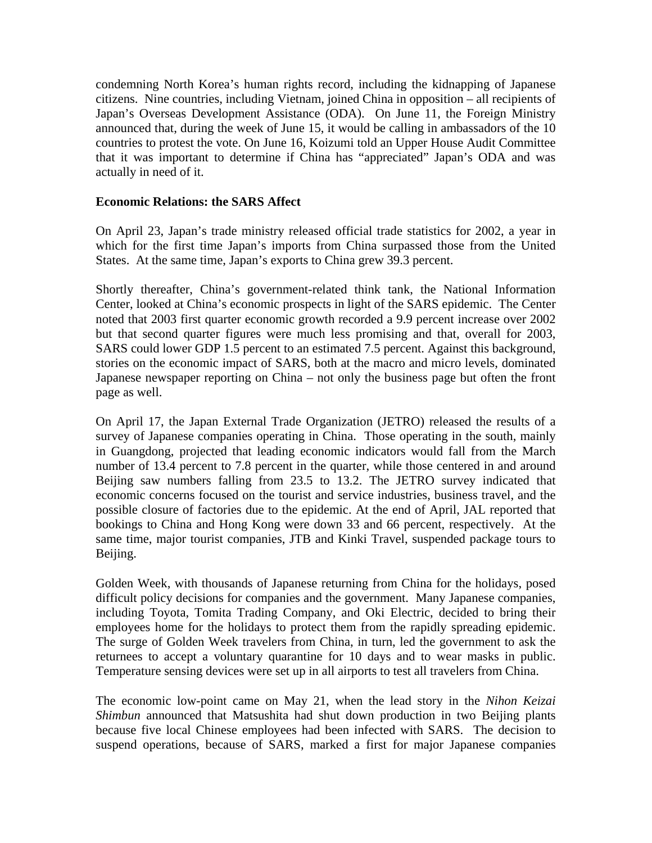condemning North Korea's human rights record, including the kidnapping of Japanese citizens. Nine countries, including Vietnam, joined China in opposition – all recipients of Japan's Overseas Development Assistance (ODA). On June 11, the Foreign Ministry announced that, during the week of June 15, it would be calling in ambassadors of the 10 countries to protest the vote. On June 16, Koizumi told an Upper House Audit Committee that it was important to determine if China has "appreciated" Japan's ODA and was actually in need of it.

## **Economic Relations: the SARS Affect**

On April 23, Japan's trade ministry released official trade statistics for 2002, a year in which for the first time Japan's imports from China surpassed those from the United States. At the same time, Japan's exports to China grew 39.3 percent.

Shortly thereafter, China's government-related think tank, the National Information Center, looked at China's economic prospects in light of the SARS epidemic. The Center noted that 2003 first quarter economic growth recorded a 9.9 percent increase over 2002 but that second quarter figures were much less promising and that, overall for 2003, SARS could lower GDP 1.5 percent to an estimated 7.5 percent. Against this background, stories on the economic impact of SARS, both at the macro and micro levels, dominated Japanese newspaper reporting on China – not only the business page but often the front page as well.

On April 17, the Japan External Trade Organization (JETRO) released the results of a survey of Japanese companies operating in China. Those operating in the south, mainly in Guangdong, projected that leading economic indicators would fall from the March number of 13.4 percent to 7.8 percent in the quarter, while those centered in and around Beijing saw numbers falling from 23.5 to 13.2. The JETRO survey indicated that economic concerns focused on the tourist and service industries, business travel, and the possible closure of factories due to the epidemic. At the end of April, JAL reported that bookings to China and Hong Kong were down 33 and 66 percent, respectively. At the same time, major tourist companies, JTB and Kinki Travel, suspended package tours to Beijing.

Golden Week, with thousands of Japanese returning from China for the holidays, posed difficult policy decisions for companies and the government. Many Japanese companies, including Toyota, Tomita Trading Company, and Oki Electric, decided to bring their employees home for the holidays to protect them from the rapidly spreading epidemic. The surge of Golden Week travelers from China, in turn, led the government to ask the returnees to accept a voluntary quarantine for 10 days and to wear masks in public. Temperature sensing devices were set up in all airports to test all travelers from China.

The economic low-point came on May 21, when the lead story in the *Nihon Keizai Shimbun* announced that Matsushita had shut down production in two Beijing plants because five local Chinese employees had been infected with SARS. The decision to suspend operations, because of SARS, marked a first for major Japanese companies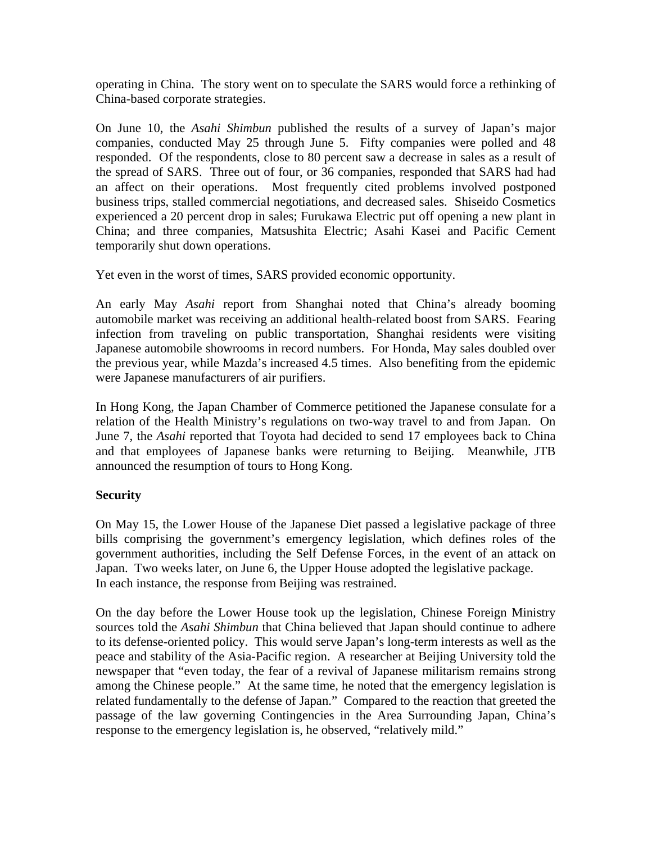operating in China. The story went on to speculate the SARS would force a rethinking of China-based corporate strategies.

On June 10, the *Asahi Shimbun* published the results of a survey of Japan's major companies, conducted May 25 through June 5. Fifty companies were polled and 48 responded. Of the respondents, close to 80 percent saw a decrease in sales as a result of the spread of SARS. Three out of four, or 36 companies, responded that SARS had had an affect on their operations. Most frequently cited problems involved postponed business trips, stalled commercial negotiations, and decreased sales. Shiseido Cosmetics experienced a 20 percent drop in sales; Furukawa Electric put off opening a new plant in China; and three companies, Matsushita Electric; Asahi Kasei and Pacific Cement temporarily shut down operations.

Yet even in the worst of times, SARS provided economic opportunity.

An early May *Asahi* report from Shanghai noted that China's already booming automobile market was receiving an additional health-related boost from SARS. Fearing infection from traveling on public transportation, Shanghai residents were visiting Japanese automobile showrooms in record numbers. For Honda, May sales doubled over the previous year, while Mazda's increased 4.5 times. Also benefiting from the epidemic were Japanese manufacturers of air purifiers.

In Hong Kong, the Japan Chamber of Commerce petitioned the Japanese consulate for a relation of the Health Ministry's regulations on two-way travel to and from Japan. On June 7, the *Asahi* reported that Toyota had decided to send 17 employees back to China and that employees of Japanese banks were returning to Beijing. Meanwhile, JTB announced the resumption of tours to Hong Kong.

## **Security**

On May 15, the Lower House of the Japanese Diet passed a legislative package of three bills comprising the government's emergency legislation, which defines roles of the government authorities, including the Self Defense Forces, in the event of an attack on Japan. Two weeks later, on June 6, the Upper House adopted the legislative package. In each instance, the response from Beijing was restrained.

On the day before the Lower House took up the legislation, Chinese Foreign Ministry sources told the *Asahi Shimbun* that China believed that Japan should continue to adhere to its defense-oriented policy. This would serve Japan's long-term interests as well as the peace and stability of the Asia-Pacific region. A researcher at Beijing University told the newspaper that "even today, the fear of a revival of Japanese militarism remains strong among the Chinese people." At the same time, he noted that the emergency legislation is related fundamentally to the defense of Japan." Compared to the reaction that greeted the passage of the law governing Contingencies in the Area Surrounding Japan, China's response to the emergency legislation is, he observed, "relatively mild."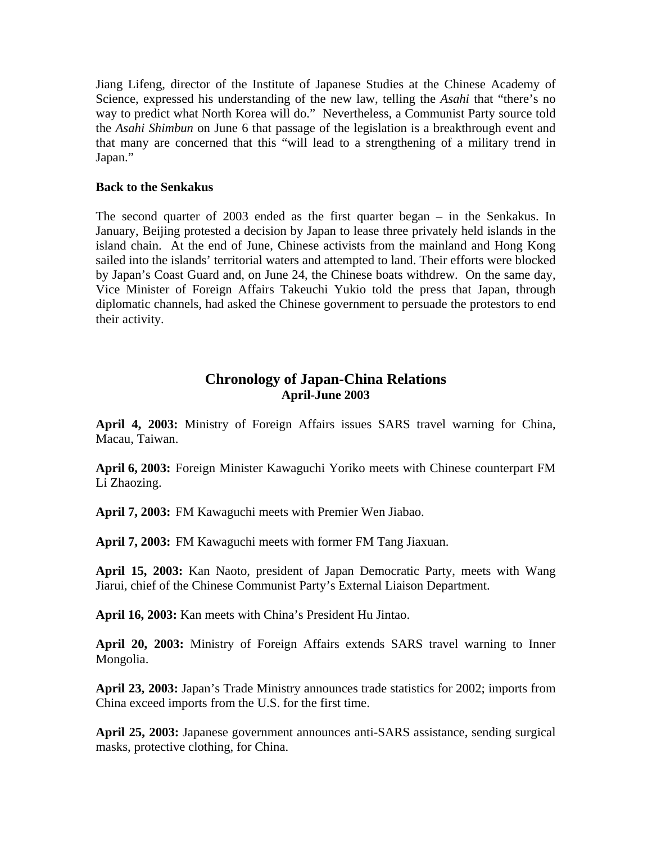Jiang Lifeng, director of the Institute of Japanese Studies at the Chinese Academy of Science, expressed his understanding of the new law, telling the *Asahi* that "there's no way to predict what North Korea will do." Nevertheless, a Communist Party source told the *Asahi Shimbun* on June 6 that passage of the legislation is a breakthrough event and that many are concerned that this "will lead to a strengthening of a military trend in Japan."

#### **Back to the Senkakus**

The second quarter of 2003 ended as the first quarter began – in the Senkakus. In January, Beijing protested a decision by Japan to lease three privately held islands in the island chain. At the end of June, Chinese activists from the mainland and Hong Kong sailed into the islands' territorial waters and attempted to land. Their efforts were blocked by Japan's Coast Guard and, on June 24, the Chinese boats withdrew. On the same day, Vice Minister of Foreign Affairs Takeuchi Yukio told the press that Japan, through diplomatic channels, had asked the Chinese government to persuade the protestors to end their activity.

# **Chronology of Japan-China Relations April-June 2003**

**April 4, 2003:** Ministry of Foreign Affairs issues SARS travel warning for China, Macau, Taiwan.

**April 6, 2003:** Foreign Minister Kawaguchi Yoriko meets with Chinese counterpart FM Li Zhaozing.

**April 7, 2003:** FM Kawaguchi meets with Premier Wen Jiabao.

**April 7, 2003:** FM Kawaguchi meets with former FM Tang Jiaxuan.

**April 15, 2003:** Kan Naoto, president of Japan Democratic Party, meets with Wang Jiarui, chief of the Chinese Communist Party's External Liaison Department.

**April 16, 2003:** Kan meets with China's President Hu Jintao.

**April 20, 2003:** Ministry of Foreign Affairs extends SARS travel warning to Inner Mongolia.

**April 23, 2003:** Japan's Trade Ministry announces trade statistics for 2002; imports from China exceed imports from the U.S. for the first time.

**April 25, 2003:** Japanese government announces anti-SARS assistance, sending surgical masks, protective clothing, for China.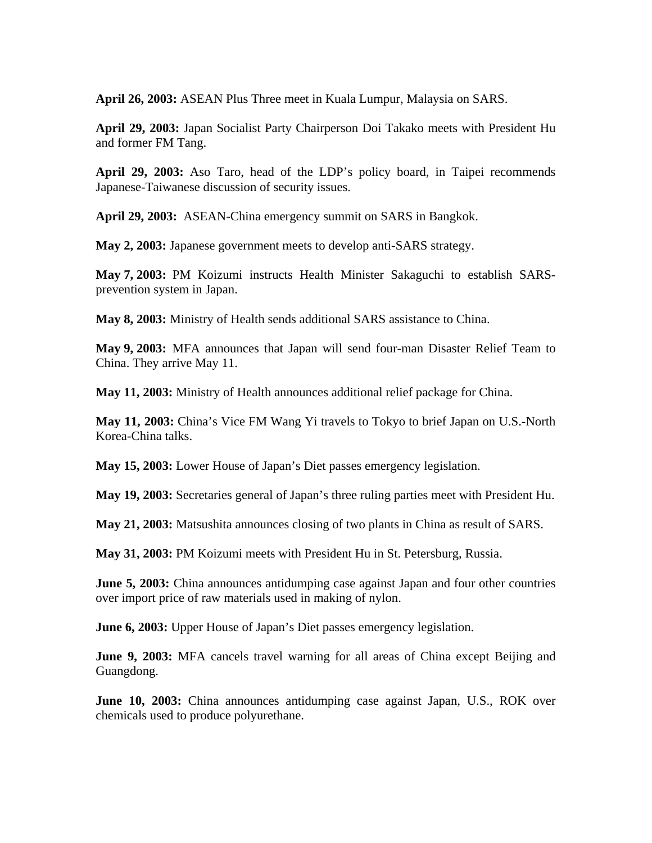**April 26, 2003:** ASEAN Plus Three meet in Kuala Lumpur, Malaysia on SARS.

**April 29, 2003:** Japan Socialist Party Chairperson Doi Takako meets with President Hu and former FM Tang.

**April 29, 2003:** Aso Taro, head of the LDP's policy board, in Taipei recommends Japanese-Taiwanese discussion of security issues.

**April 29, 2003:** ASEAN-China emergency summit on SARS in Bangkok.

**May 2, 2003:** Japanese government meets to develop anti-SARS strategy.

**May 7, 2003:** PM Koizumi instructs Health Minister Sakaguchi to establish SARSprevention system in Japan.

**May 8, 2003:** Ministry of Health sends additional SARS assistance to China.

**May 9, 2003:** MFA announces that Japan will send four-man Disaster Relief Team to China. They arrive May 11.

**May 11, 2003:** Ministry of Health announces additional relief package for China.

**May 11, 2003:** China's Vice FM Wang Yi travels to Tokyo to brief Japan on U.S.-North Korea-China talks.

**May 15, 2003:** Lower House of Japan's Diet passes emergency legislation.

**May 19, 2003:** Secretaries general of Japan's three ruling parties meet with President Hu.

**May 21, 2003:** Matsushita announces closing of two plants in China as result of SARS.

**May 31, 2003:** PM Koizumi meets with President Hu in St. Petersburg, Russia.

**June 5, 2003:** China announces antidumping case against Japan and four other countries over import price of raw materials used in making of nylon.

**June 6, 2003:** Upper House of Japan's Diet passes emergency legislation.

**June 9, 2003:** MFA cancels travel warning for all areas of China except Beijing and Guangdong.

**June 10, 2003:** China announces antidumping case against Japan, U.S., ROK over chemicals used to produce polyurethane.